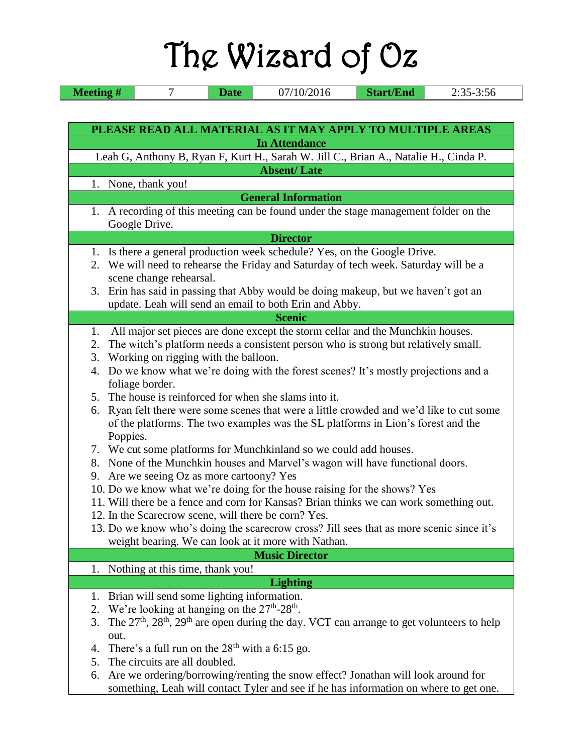|                      | The Wizard of Oz                                                                                                                                                                                                                                                                                                                                                                                                                                                                                                                                                                                                                                                                                                                                                                                                                                                                                                                                                                                                                                                                                                                                               |
|----------------------|----------------------------------------------------------------------------------------------------------------------------------------------------------------------------------------------------------------------------------------------------------------------------------------------------------------------------------------------------------------------------------------------------------------------------------------------------------------------------------------------------------------------------------------------------------------------------------------------------------------------------------------------------------------------------------------------------------------------------------------------------------------------------------------------------------------------------------------------------------------------------------------------------------------------------------------------------------------------------------------------------------------------------------------------------------------------------------------------------------------------------------------------------------------|
| <b>Meeting#</b>      | 07/10/2016<br><b>Start/End</b><br>$2:35-3:56$<br>7<br><b>Date</b>                                                                                                                                                                                                                                                                                                                                                                                                                                                                                                                                                                                                                                                                                                                                                                                                                                                                                                                                                                                                                                                                                              |
|                      | PLEASE READ ALL MATERIAL AS IT MAY APPLY TO MULTIPLE AREAS<br><b>In Attendance</b>                                                                                                                                                                                                                                                                                                                                                                                                                                                                                                                                                                                                                                                                                                                                                                                                                                                                                                                                                                                                                                                                             |
|                      | Leah G, Anthony B, Ryan F, Kurt H., Sarah W. Jill C., Brian A., Natalie H., Cinda P.                                                                                                                                                                                                                                                                                                                                                                                                                                                                                                                                                                                                                                                                                                                                                                                                                                                                                                                                                                                                                                                                           |
|                      | <b>Absent/Late</b>                                                                                                                                                                                                                                                                                                                                                                                                                                                                                                                                                                                                                                                                                                                                                                                                                                                                                                                                                                                                                                                                                                                                             |
|                      | 1. None, thank you!                                                                                                                                                                                                                                                                                                                                                                                                                                                                                                                                                                                                                                                                                                                                                                                                                                                                                                                                                                                                                                                                                                                                            |
|                      | <b>General Information</b><br>1. A recording of this meeting can be found under the stage management folder on the<br>Google Drive.                                                                                                                                                                                                                                                                                                                                                                                                                                                                                                                                                                                                                                                                                                                                                                                                                                                                                                                                                                                                                            |
|                      | <b>Director</b>                                                                                                                                                                                                                                                                                                                                                                                                                                                                                                                                                                                                                                                                                                                                                                                                                                                                                                                                                                                                                                                                                                                                                |
|                      | 1. Is there a general production week schedule? Yes, on the Google Drive.<br>2. We will need to rehearse the Friday and Saturday of tech week. Saturday will be a<br>scene change rehearsal.                                                                                                                                                                                                                                                                                                                                                                                                                                                                                                                                                                                                                                                                                                                                                                                                                                                                                                                                                                   |
|                      | 3. Erin has said in passing that Abby would be doing makeup, but we haven't got an<br>update. Leah will send an email to both Erin and Abby.                                                                                                                                                                                                                                                                                                                                                                                                                                                                                                                                                                                                                                                                                                                                                                                                                                                                                                                                                                                                                   |
|                      | <b>Scenic</b>                                                                                                                                                                                                                                                                                                                                                                                                                                                                                                                                                                                                                                                                                                                                                                                                                                                                                                                                                                                                                                                                                                                                                  |
| 1.<br>2.<br>3.<br>6. | All major set pieces are done except the storm cellar and the Munchkin houses.<br>The witch's platform needs a consistent person who is strong but relatively small.<br>Working on rigging with the balloon.<br>4. Do we know what we're doing with the forest scenes? It's mostly projections and a<br>foliage border.<br>5. The house is reinforced for when she slams into it.<br>Ryan felt there were some scenes that were a little crowded and we'd like to cut some<br>of the platforms. The two examples was the SL platforms in Lion's forest and the<br>Poppies.<br>7. We cut some platforms for Munchkinland so we could add houses.<br>8. None of the Munchkin houses and Marvel's wagon will have functional doors.<br>9. Are we seeing Oz as more cartoony? Yes<br>10. Do we know what we're doing for the house raising for the shows? Yes<br>11. Will there be a fence and corn for Kansas? Brian thinks we can work something out.<br>12. In the Scarecrow scene, will there be corn? Yes.<br>13. Do we know who's doing the scarecrow cross? Jill sees that as more scenic since it's<br>weight bearing. We can look at it more with Nathan. |
|                      | <b>Music Director</b><br>1. Nothing at this time, thank you!                                                                                                                                                                                                                                                                                                                                                                                                                                                                                                                                                                                                                                                                                                                                                                                                                                                                                                                                                                                                                                                                                                   |
| 1.<br>2.<br>3.<br>6. | <b>Lighting</b><br>Brian will send some lighting information.<br>We're looking at hanging on the $27th - 28th$ .<br>The $27th$ , $28th$ , $29th$ are open during the day. VCT can arrange to get volunteers to help<br>out.<br>4. There's a full run on the $28th$ with a 6:15 go.<br>5. The circuits are all doubled.<br>Are we ordering/borrowing/renting the snow effect? Jonathan will look around for<br>something, Leah will contact Tyler and see if he has information on where to get one.                                                                                                                                                                                                                                                                                                                                                                                                                                                                                                                                                                                                                                                            |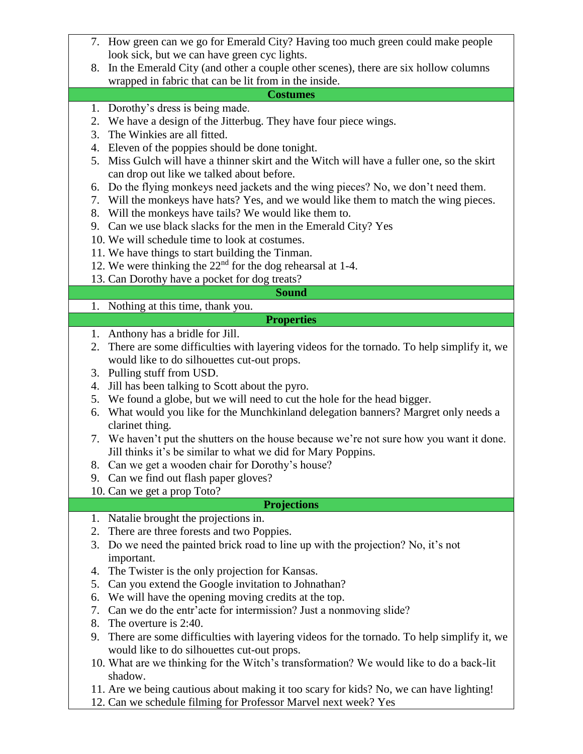| 7. How green can we go for Emerald City? Having too much green could make people                |  |  |
|-------------------------------------------------------------------------------------------------|--|--|
| look sick, but we can have green cyc lights.                                                    |  |  |
| In the Emerald City (and other a couple other scenes), there are six hollow columns<br>8.       |  |  |
| wrapped in fabric that can be lit from in the inside.                                           |  |  |
| <b>Costumes</b>                                                                                 |  |  |
| 1. Dorothy's dress is being made.                                                               |  |  |
| 2. We have a design of the Jitterbug. They have four piece wings.                               |  |  |
| The Winkies are all fitted.<br>3.                                                               |  |  |
| 4. Eleven of the poppies should be done tonight.                                                |  |  |
| 5. Miss Gulch will have a thinner skirt and the Witch will have a fuller one, so the skirt      |  |  |
| can drop out like we talked about before.                                                       |  |  |
| 6. Do the flying monkeys need jackets and the wing pieces? No, we don't need them.              |  |  |
| 7. Will the monkeys have hats? Yes, and we would like them to match the wing pieces.            |  |  |
| 8. Will the monkeys have tails? We would like them to.                                          |  |  |
| 9. Can we use black slacks for the men in the Emerald City? Yes                                 |  |  |
| 10. We will schedule time to look at costumes.                                                  |  |  |
| 11. We have things to start building the Tinman.                                                |  |  |
| 12. We were thinking the $22nd$ for the dog rehearsal at 1-4.                                   |  |  |
| 13. Can Dorothy have a pocket for dog treats?                                                   |  |  |
| <b>Sound</b>                                                                                    |  |  |
|                                                                                                 |  |  |
| 1. Nothing at this time, thank you.                                                             |  |  |
| <b>Properties</b>                                                                               |  |  |
| 1. Anthony has a bridle for Jill.                                                               |  |  |
| There are some difficulties with layering videos for the tornado. To help simplify it, we<br>2. |  |  |
| would like to do silhouettes cut-out props.                                                     |  |  |
| 3. Pulling stuff from USD.                                                                      |  |  |
| Jill has been talking to Scott about the pyro.<br>4.                                            |  |  |
| 5. We found a globe, but we will need to cut the hole for the head bigger.                      |  |  |
| What would you like for the Munchkinland delegation banners? Margret only needs a<br>6.         |  |  |
| clarinet thing.                                                                                 |  |  |
| 7. We haven't put the shutters on the house because we're not sure how you want it done.        |  |  |
| Jill thinks it's be similar to what we did for Mary Poppins.                                    |  |  |
| 8. Can we get a wooden chair for Dorothy's house?                                               |  |  |
| 9. Can we find out flash paper gloves?                                                          |  |  |
| 10. Can we get a prop Toto?                                                                     |  |  |
| <b>Projections</b>                                                                              |  |  |
| Natalie brought the projections in.<br>1.                                                       |  |  |
| There are three forests and two Poppies.<br>2.                                                  |  |  |
| 3. Do we need the painted brick road to line up with the projection? No, it's not               |  |  |
| important.                                                                                      |  |  |
| The Twister is the only projection for Kansas.<br>4.                                            |  |  |
| Can you extend the Google invitation to Johnathan?<br>5.                                        |  |  |
| We will have the opening moving credits at the top.<br>6.                                       |  |  |
| Can we do the entr'acte for intermission? Just a nonmoving slide?<br>7.                         |  |  |
| 8. The overture is 2:40.                                                                        |  |  |
| There are some difficulties with layering videos for the tornado. To help simplify it, we<br>9. |  |  |
| would like to do silhouettes cut-out props.                                                     |  |  |
| 10. What are we thinking for the Witch's transformation? We would like to do a back-lit         |  |  |
| shadow.                                                                                         |  |  |
| 11. Are we being cautious about making it too scary for kids? No, we can have lighting!         |  |  |
| 12. Can we schedule filming for Professor Marvel next week? Yes                                 |  |  |